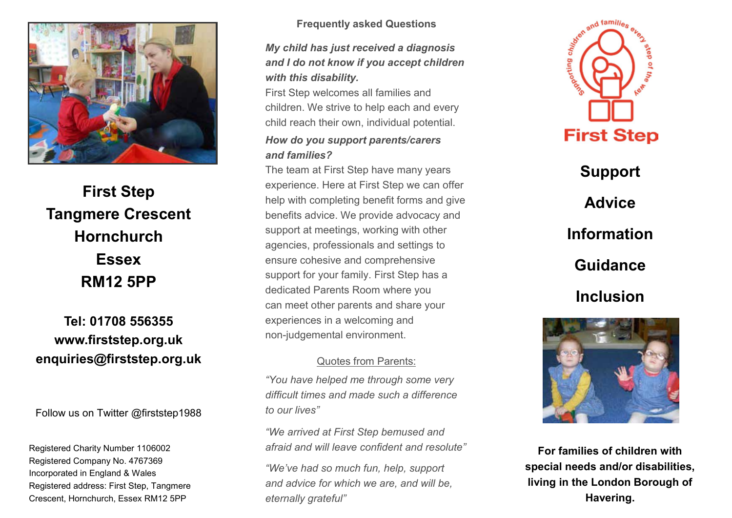

#### **First Step Tangmere Crescent Hornchurch Essex RM12 5PP First Step Tangmere Crescent Hornchurch Essex Essex Property** First Stephen<br>First Outpool **Tangmere Crescent Hornchurch RM12** 5PP

### **Tel: 01708 556355 www.firststep.org.uk enquiries@firststep.org.uk Tel: 01708 556355 Tel: 01708 556355 www.firststep.org.uk www.firststep.org.uk enquiries@firststep.org.uk enquiries@firststep.org.uk**

Follow us on Twitter @firststep1988 Follow us on Twitter @firststep1988

Registered Charity Number 1106002 Registered Company No. 4767369 Incorporated in England & Wales Registered address: First Step, Tangmere Crescent, Hornchurch, Essex RM12 5PP

### $\mathbf{F} = \mathbf{F} \cdot \mathbf{F} \cdot \mathbf{F} \cdot \mathbf{F} \cdot \mathbf{F} \cdot \mathbf{F} \cdot \mathbf{F} \cdot \mathbf{F} \cdot \mathbf{F} \cdot \mathbf{F} \cdot \mathbf{F} \cdot \mathbf{F} \cdot \mathbf{F} \cdot \mathbf{F} \cdot \mathbf{F} \cdot \mathbf{F} \cdot \mathbf{F} \cdot \mathbf{F} \cdot \mathbf{F} \cdot \mathbf{F} \cdot \mathbf{F} \cdot \mathbf{F} \cdot \mathbf{F} \cdot \mathbf{F} \cdot \mathbf{F} \cdot \mathbf{F} \cdot \mathbf{F$ **Frequently asked Questions Frequently asked Questions**

*My child has just received a diagnosis and I do not know if you accept children*  $\frac{1}{2}$ *with this disability.*  $F: (0)$  all  $F: (0)$ *My child has just received a diagnosis My child has just received a diagnosis and I do not know if you accept children and I do not know if you accept children with this disability. with this disability.*

children. We strive to help each and every to help every strive to help every strive to help every strive to h child child reach the component child reach their components. First Step welcomes all families and First Step welcomes all families and children. We strive to help each and every children. We strive to help each and every child reach their own, individual potential. child reach their own, individual potential.

#### *How do you support parents/carers and families?*  $T_{\rm eff}$  at  $T_{\rm eff}$  team at  $T_{\rm eff}$  team at  $T_{\rm eff}$  team at  $T_{\rm eff}$  and  $T_{\rm eff}$  are many  $T_{\rm eff}$  and  $T_{\rm eff}$  are many  $T_{\rm eff}$  and  $T_{\rm eff}$  are many  $T_{\rm eff}$  and  $T_{\rm eff}$  are many  $T_{\rm eff}$  and  $T_{\rm eff}$  are many  $T_{$ *How do you support parents/carers How do you support parents/carers and families? and families?*

 $\frac{1}{2}$  First Can at First Step nave many year experience. Here are not otep we can a benefit with completing benefit forms and support at meeting with our contract with the with our contract with our contract with our contract with our contract with  $\frac{1}{2}$ support at modified, working with a agenoico, professionais and setti support for your family complements of your family. First Step has a set of the step has a set of the step has a set of the step of the step of the step of the step of the step of the step of the step of the step of the st depoir for your family. That one conduct raiding room where you ban moot omor paromo and experiences in a welcoming and The team at First Step have many years The team at First Step have many years experience. Here at First Step we can offer experience. Here at First Step we can offer help with completing benefit forms and give help with completing benefit forms and give benefits advice. We provide advocacy and benefits advice. We provide advocacy and support at meetings, working with other support at meetings, working with other agencies, professionals and settings to agencies, professionals and settings to ensure cohesive and comprehensive ensure cohesive and comprehensive support for your family. First Step has a dedicated Parents Room where you dedicated Parents Room where you can meet other parents and share your can meet other parents and share your non-judgemental environment. non-judgemental environment.

### $\overline{a}$ Quotes from Parents: Quotes from Parents:

*"You have helped me through some very difficult times and made such a difference in difference*  $\frac{d}{dx}$ *to our lives" "You have helped me through some very "You have helped me through some very difficult times and made such a difference difficult times and made such a difference to our lives" to our lives"*

*"We arrived at First Step bemused and afraid and will leave confident and resolute" "We arrived at First Step bemused and "We arrived at First Step bemused and afraid and will leave confident and resolute" afraid and will leave confident and resolute"*

*"We've had so much fun, help, support and advice for which we are, and will be, "We've had so much fun, help, support "We've had so much fun, help, support eternally grateful" and advice for which we are, and will be, and advice for which we are, and will be, eternally grateful" eternally grateful"*



**Support Advice Information Guidance Inclusion Support Support Advice Advice Information Information Guidance Guidance Inclusion Inclusion**



**For families of children with special needs and/or disabilities, For families of children with For families of children with living in the London Borough of special needs and/or disabilities, special needs and/or disabilities, Havering. living in the London Borough of living in the London Borough of Havering. Havering.**